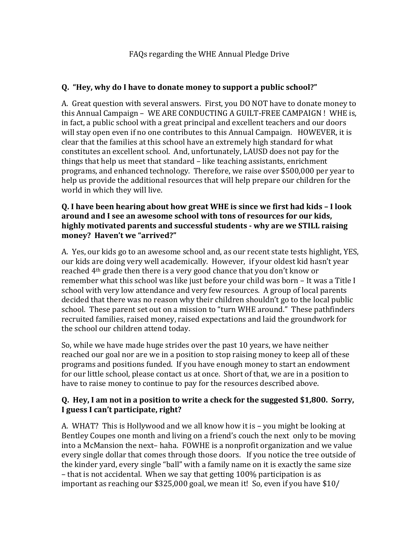## **Q. "Hey, why do I have to donate money to support a public school?"**

A. Great question with several answers. First, you DO NOT have to donate money to this Annual Campaign – WE ARE CONDUCTING A GUILT-FREE CAMPAIGN ! WHE is, in fact, a public school with a great principal and excellent teachers and our doors will stay open even if no one contributes to this Annual Campaign. HOWEVER, it is clear that the families at this school have an extremely high standard for what constitutes an excellent school. And, unfortunately, LAUSD does not pay for the things that help us meet that standard – like teaching assistants, enrichment programs, and enhanced technology. Therefore, we raise over \$500,000 per year to help us provide the additional resources that will help prepare our children for the world in which they will live.

#### **Q. I have been hearing about how great WHE is since we first had kids – I look around and I see an awesome school with tons of resources for our kids, highly motivated parents and successful students - why are we STILL raising money? Haven't we "arrived?"**

A. Yes, our kids go to an awesome school and, as our recent state tests highlight, YES, our kids are doing very well academically. However, if your oldest kid hasn't year reached 4th grade then there is a very good chance that you don't know or remember what this school was like just before your child was born – It was a Title I school with very low attendance and very few resources. A group of local parents decided that there was no reason why their children shouldn't go to the local public school. These parent set out on a mission to "turn WHE around." These pathfinders recruited families, raised money, raised expectations and laid the groundwork for the school our children attend today.

So, while we have made huge strides over the past 10 years, we have neither reached our goal nor are we in a position to stop raising money to keep all of these programs and positions funded. If you have enough money to start an endowment for our little school, please contact us at once. Short of that, we are in a position to have to raise money to continue to pay for the resources described above.

### **Q. Hey, I am not in a position to write a check for the suggested \$1,800. Sorry, I guess I can't participate, right?**

A. WHAT? This is Hollywood and we all know how it is – you might be looking at Bentley Coupes one month and living on a friend's couch the next only to be moving into a McMansion the next– haha. FOWHE is a nonprofit organization and we value every single dollar that comes through those doors. If you notice the tree outside of the kinder yard, every single "ball" with a family name on it is exactly the same size – that is not accidental. When we say that getting 100% participation is as important as reaching our \$325,000 goal, we mean it! So, even if you have \$10/